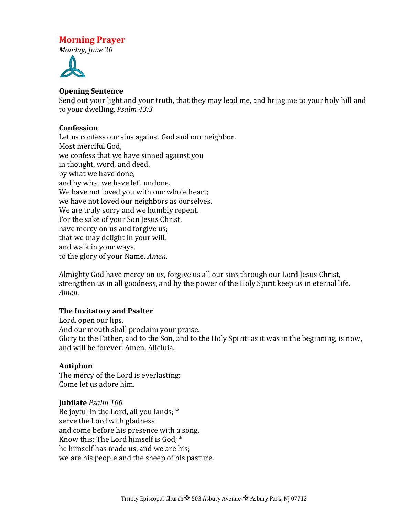# **Morning Prayer**

*Monday, June 20*



## **Opening Sentence**

Send out your light and your truth, that they may lead me, and bring me to your holy hill and to your dwelling. *Psalm 43:3* 

## **Confession**

Let us confess our sins against God and our neighbor. Most merciful God, we confess that we have sinned against you in thought, word, and deed, by what we have done, and by what we have left undone. We have not loved you with our whole heart; we have not loved our neighbors as ourselves. We are truly sorry and we humbly repent. For the sake of your Son Jesus Christ, have mercy on us and forgive us; that we may delight in your will, and walk in your ways, to the glory of your Name. *Amen*.

Almighty God have mercy on us, forgive us all our sins through our Lord Jesus Christ, strengthen us in all goodness, and by the power of the Holy Spirit keep us in eternal life. *Amen*.

## **The Invitatory and Psalter**

Lord, open our lips. And our mouth shall proclaim your praise. Glory to the Father, and to the Son, and to the Holy Spirit: as it was in the beginning, is now, and will be forever. Amen. Alleluia.

# **Antiphon**

The mercy of the Lord is everlasting: Come let us adore him.

## **Jubilate** *Psalm 100*

Be joyful in the Lord, all you lands;  $*$ serve the Lord with gladness and come before his presence with a song. Know this: The Lord himself is God;  $*$ he himself has made us, and we are his; we are his people and the sheep of his pasture.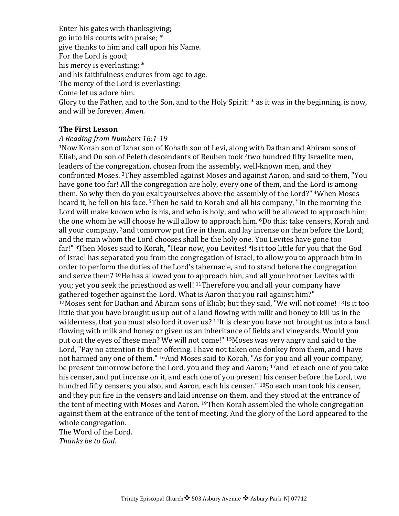Enter his gates with thanksgiving; go into his courts with praise; \* give thanks to him and call upon his Name. For the Lord is good; his mercy is everlasting: \* and his faithfulness endures from age to age. The mercy of the Lord is everlasting: Come let us adore him. Glory to the Father, and to the Son, and to the Holy Spirit:  $*$  as it was in the beginning, is now, and will be forever. *Amen.* 

## **The First Lesson**

#### *A Reading from Numbers 16:1-19*

 $1$ Now Korah son of Izhar son of Kohath son of Levi, along with Dathan and Abiram sons of Eliab, and On son of Peleth descendants of Reuben took <sup>2</sup>two hundred fifty Israelite men, leaders of the congregation, chosen from the assembly, well-known men, and they confronted Moses. <sup>3</sup>They assembled against Moses and against Aaron, and said to them, "You have gone too far! All the congregation are holy, every one of them, and the Lord is among them. So why then do you exalt yourselves above the assembly of the Lord?" <sup>4</sup>When Moses heard it, he fell on his face. <sup>5</sup>Then he said to Korah and all his company, "In the morning the Lord will make known who is his, and who is holy, and who will be allowed to approach him; the one whom he will choose he will allow to approach him. <sup>6</sup>Do this: take censers, Korah and all your company,  $7$  and tomorrow put fire in them, and lay incense on them before the Lord; and the man whom the Lord chooses shall be the holy one. You Levites have gone too far!" <sup>8</sup>Then Moses said to Korah, "Hear now, you Levites! <sup>9</sup>Is it too little for you that the God of Israel has separated you from the congregation of Israel, to allow you to approach him in order to perform the duties of the Lord's tabernacle, and to stand before the congregation and serve them? <sup>10</sup>He has allowed you to approach him, and all your brother Levites with you; yet you seek the priesthood as well! <sup>11</sup>Therefore you and all your company have gathered together against the Lord. What is Aaron that you rail against him?"  $12$ Moses sent for Dathan and Abiram sons of Eliab; but they said, "We will not come!  $13$ Is it too little that you have brought us up out of a land flowing with milk and honey to kill us in the wilderness, that you must also lord it over us?  $14$ It is clear you have not brought us into a land flowing with milk and honey or given us an inheritance of fields and vineyards. Would you put out the eyes of these men? We will not come!" <sup>15</sup>Moses was very angry and said to the Lord, "Pay no attention to their offering. I have not taken one donkey from them, and I have not harmed any one of them." <sup>16</sup>And Moses said to Korah, "As for you and all your company, be present tomorrow before the Lord, you and they and Aaron;  $17$  and let each one of you take his censer, and put incense on it, and each one of you present his censer before the Lord, two hundred fifty censers; you also, and Aaron, each his censer." <sup>18</sup>So each man took his censer, and they put fire in the censers and laid incense on them, and they stood at the entrance of the tent of meeting with Moses and Aaron. <sup>19</sup>Then Korah assembled the whole congregation against them at the entrance of the tent of meeting. And the glory of the Lord appeared to the whole congregation.

The Word of the Lord. *Thanks be to God*.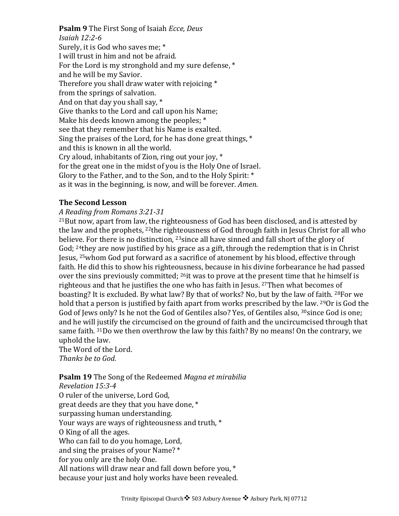**Psalm 9** The First Song of Isaiah *Ecce, Deus Isaiah 12:2-6* Surely, it is God who saves me; \* I will trust in him and not be afraid. For the Lord is my stronghold and my sure defense.  $*$ and he will be my Savior. Therefore you shall draw water with rejoicing  $*$ from the springs of salvation. And on that day you shall say,  $*$ Give thanks to the Lord and call upon his Name; Make his deeds known among the peoples;  $*$ see that they remember that his Name is exalted. Sing the praises of the Lord, for he has done great things,  $*$ and this is known in all the world. Cry aloud, inhabitants of Zion, ring out your joy,  $*$ for the great one in the midst of you is the Holy One of Israel. Glory to the Father, and to the Son, and to the Holy Spirit: \* as it was in the beginning, is now, and will be forever. *Amen*.

## **The Second Lesson**

## *A Reading from Romans 3:21-31*

 $^{21}$ But now, apart from law, the righteousness of God has been disclosed, and is attested by the law and the prophets,  $^{22}$ the righteousness of God through faith in Jesus Christ for all who believe. For there is no distinction,  $^{23}$ since all have sinned and fall short of the glory of God;  $^{24}$ they are now justified by his grace as a gift, through the redemption that is in Christ Jesus,  $25$  whom God put forward as a sacrifice of atonement by his blood, effective through faith. He did this to show his righteousness, because in his divine forbearance he had passed over the sins previously committed;  $^{26}$ it was to prove at the present time that he himself is righteous and that he justifies the one who has faith in Jesus.  $27$ Then what becomes of boasting? It is excluded. By what law? By that of works? No, but by the law of faith. <sup>28</sup>For we hold that a person is justified by faith apart from works prescribed by the law.  $290r$  is God the God of Jews only? Is he not the God of Gentiles also? Yes, of Gentiles also, <sup>30</sup>since God is one; and he will justify the circumcised on the ground of faith and the uncircumcised through that same faith.  $31D_0$  we then overthrow the law by this faith? By no means! On the contrary, we uphold the law.

The Word of the Lord. *Thanks be to God*.

# **Psalm 19** The Song of the Redeemed *Magna et mirabilia*

*Revelation 15:3-4* O ruler of the universe, Lord God, great deeds are they that you have done,  $*$ surpassing human understanding. Your ways are ways of righteousness and truth, \* O King of all the ages. Who can fail to do you homage, Lord, and sing the praises of your Name? \* for you only are the holy One. All nations will draw near and fall down before you,  $*$ because your just and holy works have been revealed.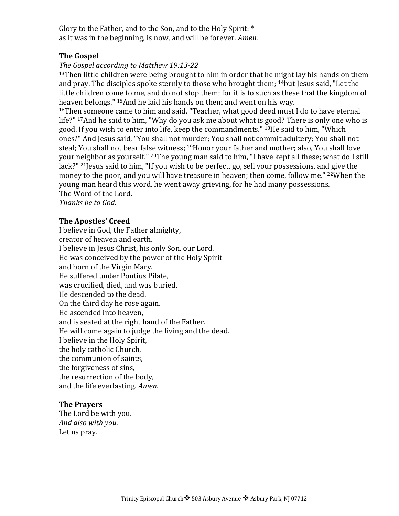Glory to the Father, and to the Son, and to the Holy Spirit:  $*$ as it was in the beginning, is now, and will be forever. *Amen*.

## **The Gospel**

## The Gospel according to Matthew 19:13-22

 $13$ Then little children were being brought to him in order that he might lay his hands on them and pray. The disciples spoke sternly to those who brought them; <sup>14</sup>but Jesus said, "Let the little children come to me, and do not stop them; for it is to such as these that the kingdom of heaven belongs." <sup>15</sup>And he laid his hands on them and went on his way.

 $16$ Then someone came to him and said, "Teacher, what good deed must I do to have eternal life?" 17And he said to him, "Why do you ask me about what is good? There is only one who is good. If you wish to enter into life, keep the commandments." <sup>18</sup>He said to him, "Which ones?" And Jesus said, "You shall not murder; You shall not commit adultery; You shall not steal; You shall not bear false witness;  $19$ Honor your father and mother; also, You shall love your neighbor as yourself." <sup>20</sup>The young man said to him, "I have kept all these; what do I still  $lack?$ <sup>" 21</sup> Jesus said to him, "If you wish to be perfect, go, sell your possessions, and give the money to the poor, and you will have treasure in heaven; then come, follow me." <sup>22</sup>When the young man heard this word, he went away grieving, for he had many possessions. The Word of the Lord.

*Thanks be to God*.

#### **The Apostles' Creed**

I believe in God, the Father almighty, creator of heaven and earth. I believe in Jesus Christ, his only Son, our Lord. He was conceived by the power of the Holy Spirit and born of the Virgin Mary. He suffered under Pontius Pilate, was crucified, died, and was buried. He descended to the dead. On the third day he rose again. He ascended into heaven. and is seated at the right hand of the Father. He will come again to judge the living and the dead. I believe in the Holy Spirit, the holy catholic Church, the communion of saints, the forgiveness of sins, the resurrection of the body, and the life everlasting. Amen.

#### **The Prayers**

The Lord be with you. *And also with you*. Let us pray.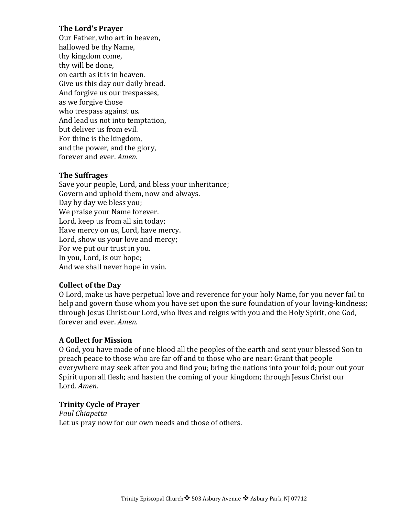## **The Lord's Prayer**

Our Father, who art in heaven, hallowed be thy Name, thy kingdom come, thy will be done. on earth as it is in heaven. Give us this day our daily bread. And forgive us our trespasses, as we forgive those who trespass against us. And lead us not into temptation, but deliver us from evil. For thine is the kingdom, and the power, and the glory, forever and ever. Amen.

## **The Suffrages**

Save your people, Lord, and bless your inheritance; Govern and uphold them, now and always. Day by day we bless you; We praise your Name forever. Lord, keep us from all sin today; Have mercy on us, Lord, have mercy. Lord, show us your love and mercy; For we put our trust in you. In you, Lord, is our hope; And we shall never hope in vain.

## **Collect of the Day**

O Lord, make us have perpetual love and reverence for your holy Name, for you never fail to help and govern those whom you have set upon the sure foundation of your loving-kindness; through Jesus Christ our Lord, who lives and reigns with you and the Holy Spirit, one God, forever and ever. *Amen*.

# **A Collect for Mission**

O God, you have made of one blood all the peoples of the earth and sent your blessed Son to preach peace to those who are far off and to those who are near: Grant that people everywhere may seek after you and find you; bring the nations into your fold; pour out your Spirit upon all flesh; and hasten the coming of your kingdom; through Jesus Christ our Lord. *Amen*.

# **Trinity Cycle of Prayer**

*Paul Chiapetta* Let us pray now for our own needs and those of others.